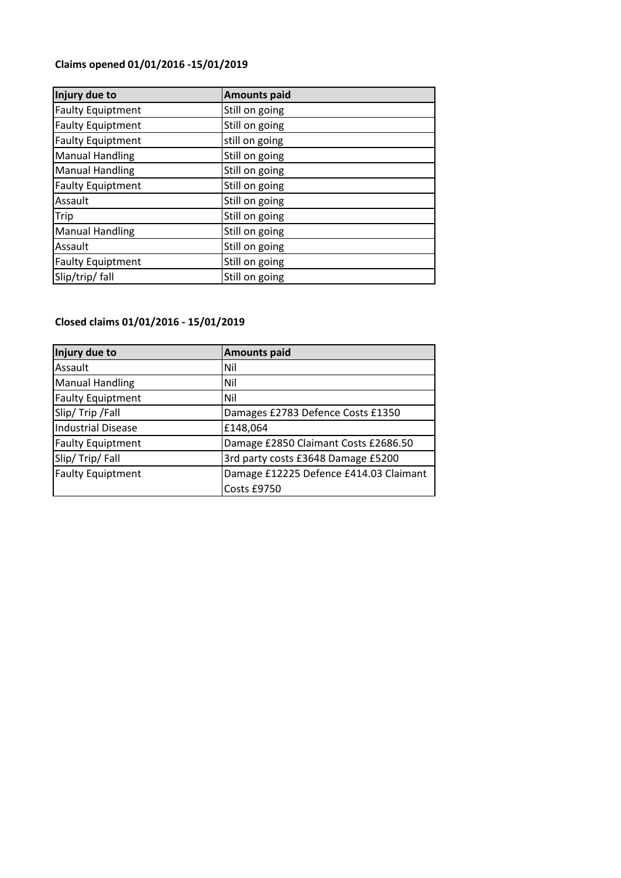## **Claims opened 01/01/2016 -15/01/2019**

| Injury due to            | <b>Amounts paid</b> |
|--------------------------|---------------------|
| <b>Faulty Equiptment</b> | Still on going      |
| <b>Faulty Equiptment</b> | Still on going      |
| <b>Faulty Equiptment</b> | still on going      |
| <b>Manual Handling</b>   | Still on going      |
| <b>Manual Handling</b>   | Still on going      |
| <b>Faulty Equiptment</b> | Still on going      |
| Assault                  | Still on going      |
| Trip                     | Still on going      |
| <b>Manual Handling</b>   | Still on going      |
| Assault                  | Still on going      |
| <b>Faulty Equiptment</b> | Still on going      |
| Slip/trip/ fall          | Still on going      |

## **Closed claims 01/01/2016 - 15/01/2019**

| Injury due to             | <b>Amounts paid</b>                    |
|---------------------------|----------------------------------------|
| Assault                   | Nil                                    |
| <b>Manual Handling</b>    | Nil                                    |
| <b>Faulty Equiptment</b>  | Nil                                    |
| Slip/Trip/Fall            | Damages £2783 Defence Costs £1350      |
| <b>Industrial Disease</b> | £148,064                               |
| <b>Faulty Equiptment</b>  | Damage £2850 Claimant Costs £2686.50   |
| Slip/Trip/Fall            | 3rd party costs £3648 Damage £5200     |
| <b>Faulty Equiptment</b>  | Damage £12225 Defence £414.03 Claimant |
|                           | Costs £9750                            |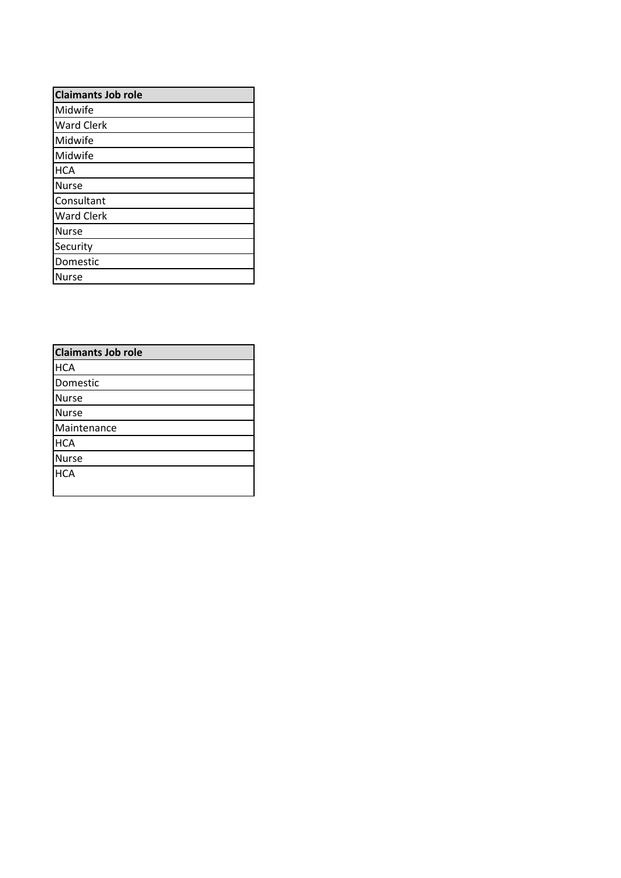| <b>Claimants Job role</b> |  |
|---------------------------|--|
| Midwife                   |  |
| <b>Ward Clerk</b>         |  |
| Midwife                   |  |
| Midwife                   |  |
| <b>HCA</b>                |  |
| Nurse                     |  |
| Consultant                |  |
| <b>Ward Clerk</b>         |  |
| <b>Nurse</b>              |  |
| Security                  |  |
| Domestic                  |  |
| Nurse                     |  |

| <b>Claimants Job role</b> |
|---------------------------|
| <b>HCA</b>                |
| Domestic                  |
| <b>Nurse</b>              |
| <b>Nurse</b>              |
| Maintenance               |
| <b>HCA</b>                |
| <b>Nurse</b>              |
| <b>HCA</b>                |
|                           |